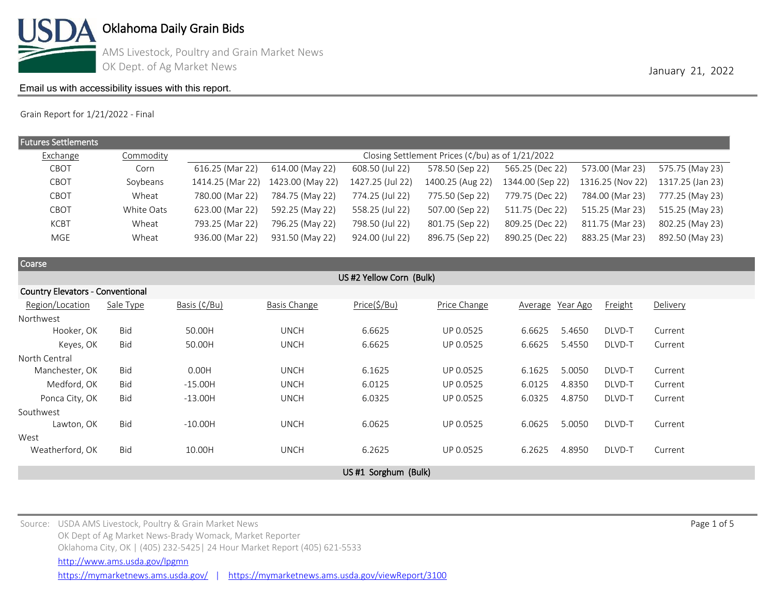

AMS Livestock, Poultry and Grain Market News OK Dept. of Ag Market News **January 21, 2022** 

### [Email us with accessibility issues with this report.](mailto:mars@ams.usda.gov?subjectNot%20able%20to%20access%20video%20auction%20report)

Grain Report for 1/21/2022 - Final

| <b>Futures Settlements</b> |            |                  |                                                                                |                  |                  |                  |                  |                  |  |  |  |  |
|----------------------------|------------|------------------|--------------------------------------------------------------------------------|------------------|------------------|------------------|------------------|------------------|--|--|--|--|
| Exchange                   | Commodity  |                  | Closing Settlement Prices ( $\frac{\epsilon}{b}$ u) as of $\frac{1}{21}{2022}$ |                  |                  |                  |                  |                  |  |  |  |  |
| CBOT                       | Corn       | 616.25 (Mar 22)  | 614.00 (May 22)                                                                | 608.50 (Jul 22)  | 578.50 (Sep 22)  | 565.25 (Dec 22)  | 573.00 (Mar 23)  | 575.75 (May 23)  |  |  |  |  |
| CBOT                       | Soybeans   | 1414.25 (Mar 22) | 1423.00 (May 22)                                                               | 1427.25 (Jul 22) | 1400.25 (Aug 22) | 1344.00 (Sep 22) | 1316.25 (Nov 22) | 1317.25 (Jan 23) |  |  |  |  |
| CBOT                       | Wheat      | 780.00 (Mar 22)  | 784.75 (May 22)                                                                | 774.25 (Jul 22)  | 775.50 (Sep 22)  | 779.75 (Dec 22)  | 784.00 (Mar 23)  | 777.25 (May 23)  |  |  |  |  |
| CBOT                       | White Oats | 623.00 (Mar 22)  | 592.25 (May 22)                                                                | 558.25 (Jul 22)  | 507.00 (Sep 22)  | 511.75 (Dec 22)  | 515.25 (Mar 23)  | 515.25 (May 23)  |  |  |  |  |
| <b>KCBT</b>                | Wheat      | 793.25 (Mar 22)  | 796.25 (May 22)                                                                | 798.50 (Jul 22)  | 801.75 (Sep 22)  | 809.25 (Dec 22)  | 811.75 (Mar 23)  | 802.25 (May 23)  |  |  |  |  |
| MGE                        | Wheat      | 936.00 (Mar 22)  | 931.50 (May 22)                                                                | 924.00 (Jul 22)  | 896.75 (Sep 22)  | 890.25 (Dec 22)  | 883.25 (Mar 23)  | 892.50 (May 23)  |  |  |  |  |
|                            |            |                  |                                                                                |                  |                  |                  |                  |                  |  |  |  |  |

| Coarse                   |                                         |              |              |                     |              |                  |        |         |          |  |  |  |  |  |  |
|--------------------------|-----------------------------------------|--------------|--------------|---------------------|--------------|------------------|--------|---------|----------|--|--|--|--|--|--|
| US #2 Yellow Corn (Bulk) |                                         |              |              |                     |              |                  |        |         |          |  |  |  |  |  |  |
|                          | <b>Country Elevators - Conventional</b> |              |              |                     |              |                  |        |         |          |  |  |  |  |  |  |
| Region/Location          | Sale Type                               | Basis (¢/Bu) | Basis Change | Price(\$/Bu)        | Price Change | Average Year Ago |        | Freight | Delivery |  |  |  |  |  |  |
| Northwest                |                                         |              |              |                     |              |                  |        |         |          |  |  |  |  |  |  |
| Hooker, OK               | <b>Bid</b>                              | 50.00H       | <b>UNCH</b>  | 6.6625              | UP 0.0525    | 6.6625           | 5.4650 | DLVD-T  | Current  |  |  |  |  |  |  |
| Keyes, OK                | Bid                                     | 50.00H       | <b>UNCH</b>  | 6.6625              | UP 0.0525    | 6.6625           | 5.4550 | DLVD-T  | Current  |  |  |  |  |  |  |
| North Central            |                                         |              |              |                     |              |                  |        |         |          |  |  |  |  |  |  |
| Manchester, OK           | Bid                                     | 0.00H        | <b>UNCH</b>  | 6.1625              | UP 0.0525    | 6.1625           | 5.0050 | DLVD-T  | Current  |  |  |  |  |  |  |
| Medford, OK              | <b>Bid</b>                              | $-15.00H$    | <b>UNCH</b>  | 6.0125              | UP 0.0525    | 6.0125           | 4.8350 | DLVD-T  | Current  |  |  |  |  |  |  |
| Ponca City, OK           | <b>Bid</b>                              | $-13.00H$    | <b>UNCH</b>  | 6.0325              | UP 0.0525    | 6.0325           | 4.8750 | DLVD-T  | Current  |  |  |  |  |  |  |
| Southwest                |                                         |              |              |                     |              |                  |        |         |          |  |  |  |  |  |  |
| Lawton, OK               | <b>Bid</b>                              | $-10.00H$    | <b>UNCH</b>  | 6.0625              | UP 0.0525    | 6.0625           | 5.0050 | DLVD-T  | Current  |  |  |  |  |  |  |
| West                     |                                         |              |              |                     |              |                  |        |         |          |  |  |  |  |  |  |
| Weatherford, OK          | Bid                                     | 10.00H       | <b>UNCH</b>  | 6.2625              | UP 0.0525    | 6.2625           | 4.8950 | DLVD-T  | Current  |  |  |  |  |  |  |
|                          |                                         |              |              |                     |              |                  |        |         |          |  |  |  |  |  |  |
|                          |                                         |              |              | US#1 Sorghum (Bulk) |              |                  |        |         |          |  |  |  |  |  |  |

Source: USDA AMS Livestock, Poultry & Grain Market News Page 1 of 5 and the USD entity of the USDA AMS Livestock, Poultry & Grain Market News Page 1 of 5 OK Dept of Ag Market News-Brady Womack, Market Reporter Oklahoma City, OK | (405) 232-5425| 24 Hour Market Report (405) 621-5533 <https://mymarketnews.ams.usda.gov/> | <https://mymarketnews.ams.usda.gov/viewReport/3100> <http://www.ams.usda.gov/lpgmn>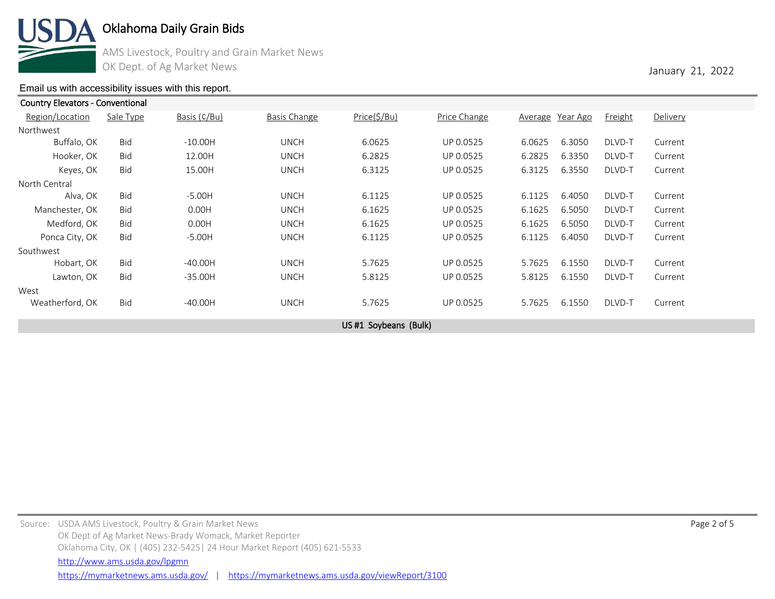

AMS Livestock, Poultry and Grain Market News OK Dept. of Ag Market News **January 21, 2022** 

### [Email us with accessibility issues with this report.](mailto:mars@ams.usda.gov?subjectNot%20able%20to%20access%20video%20auction%20report)

| <b>Country Elevators - Conventional</b> |            |              |                     |                      |              |                  |        |                |          |  |
|-----------------------------------------|------------|--------------|---------------------|----------------------|--------------|------------------|--------|----------------|----------|--|
| Region/Location                         | Sale Type  | Basis (¢/Bu) | <b>Basis Change</b> | Price(\$/Bu)         | Price Change | Average Year Ago |        | <b>Freight</b> | Delivery |  |
| Northwest                               |            |              |                     |                      |              |                  |        |                |          |  |
| Buffalo, OK                             | Bid        | $-10.00H$    | <b>UNCH</b>         | 6.0625               | UP 0.0525    | 6.0625           | 6.3050 | DLVD-T         | Current  |  |
| Hooker, OK                              | <b>Bid</b> | 12.00H       | <b>UNCH</b>         | 6.2825               | UP 0.0525    | 6.2825           | 6.3350 | DLVD-T         | Current  |  |
| Keyes, OK                               | <b>Bid</b> | 15.00H       | <b>UNCH</b>         | 6.3125               | UP 0.0525    | 6.3125           | 6.3550 | DLVD-T         | Current  |  |
| North Central                           |            |              |                     |                      |              |                  |        |                |          |  |
| Alva, OK                                | <b>Bid</b> | $-5.00H$     | <b>UNCH</b>         | 6.1125               | UP 0.0525    | 6.1125           | 6.4050 | DLVD-T         | Current  |  |
| Manchester, OK                          | Bid        | 0.00H        | <b>UNCH</b>         | 6.1625               | UP 0.0525    | 6.1625           | 6.5050 | DLVD-T         | Current  |  |
| Medford, OK                             | <b>Bid</b> | 0.00H        | <b>UNCH</b>         | 6.1625               | UP 0.0525    | 6.1625           | 6.5050 | DLVD-T         | Current  |  |
| Ponca City, OK                          | <b>Bid</b> | $-5.00H$     | <b>UNCH</b>         | 6.1125               | UP 0.0525    | 6.1125           | 6.4050 | DLVD-T         | Current  |  |
| Southwest                               |            |              |                     |                      |              |                  |        |                |          |  |
| Hobart, OK                              | <b>Bid</b> | $-40.00H$    | <b>UNCH</b>         | 5.7625               | UP 0.0525    | 5.7625           | 6.1550 | DLVD-T         | Current  |  |
| Lawton, OK                              | <b>Bid</b> | $-35.00H$    | <b>UNCH</b>         | 5.8125               | UP 0.0525    | 5.8125           | 6.1550 | DLVD-T         | Current  |  |
| West                                    |            |              |                     |                      |              |                  |        |                |          |  |
| Weatherford, OK                         | <b>Bid</b> | $-40.00H$    | <b>UNCH</b>         | 5.7625               | UP 0.0525    | 5.7625           | 6.1550 | DLVD-T         | Current  |  |
|                                         |            |              |                     | US#1 Soybeans (Bulk) |              |                  |        |                |          |  |
|                                         |            |              |                     |                      |              |                  |        |                |          |  |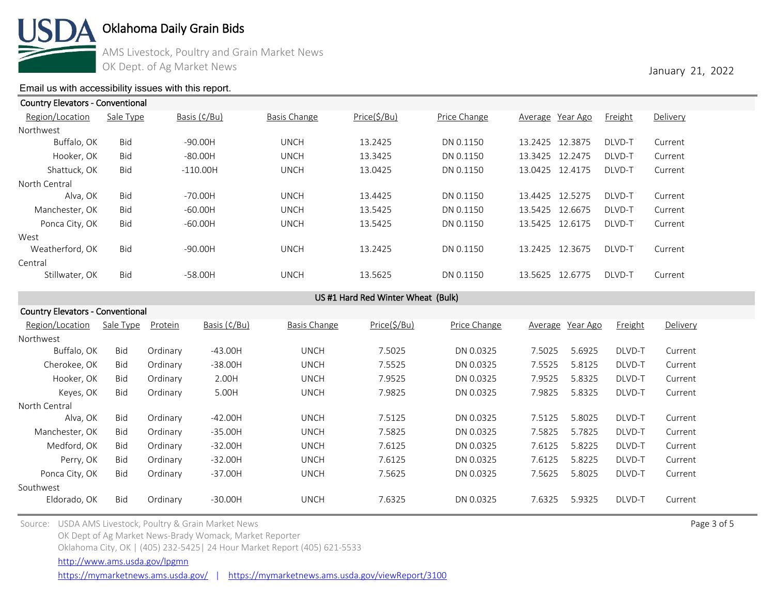

AMS Livestock, Poultry and Grain Market News OK Dept. of Ag Market News **January 21, 2022** 

### [Email us with accessibility issues with this report.](mailto:mars@ams.usda.gov?subjectNot%20able%20to%20access%20video%20auction%20report)

| <b>Country Elevators - Conventional</b> |            |              |              |              |              |                    |                |          |  |  |  |  |
|-----------------------------------------|------------|--------------|--------------|--------------|--------------|--------------------|----------------|----------|--|--|--|--|
| Region/Location                         | Sale Type  | Basis (¢/Bu) | Basis Change | Price(\$/Bu) | Price Change | Average Year Ago   | <b>Freight</b> | Delivery |  |  |  |  |
| Northwest                               |            |              |              |              |              |                    |                |          |  |  |  |  |
| Buffalo, OK                             | Bid        | $-90.00H$    | <b>UNCH</b>  | 13.2425      | DN 0.1150    | 13.2425 12.3875    | DLVD-T         | Current  |  |  |  |  |
| Hooker, OK                              | <b>Bid</b> | $-80.00H$    | <b>UNCH</b>  | 13.3425      | DN 0.1150    | 13.3425 12.2475    | DLVD-T         | Current  |  |  |  |  |
| Shattuck, OK                            | <b>Bid</b> | $-110.00H$   | <b>UNCH</b>  | 13.0425      | DN 0.1150    | 13.0425 12.4175    | DLVD-T         | Current  |  |  |  |  |
| North Central                           |            |              |              |              |              |                    |                |          |  |  |  |  |
| Alva. OK                                | <b>Bid</b> | $-70.00H$    | <b>UNCH</b>  | 13.4425      | DN 0.1150    | 13.4425 12.5275    | DLVD-T         | Current  |  |  |  |  |
| Manchester, OK                          | <b>Bid</b> | $-60.00H$    | <b>UNCH</b>  | 13.5425      | DN 0.1150    | 13.5425<br>12.6675 | DLVD-T         | Current  |  |  |  |  |
| Ponca City, OK                          | <b>Bid</b> | $-60.00H$    | <b>UNCH</b>  | 13.5425      | DN 0.1150    | 13.5425<br>12.6175 | DLVD-T         | Current  |  |  |  |  |
| West                                    |            |              |              |              |              |                    |                |          |  |  |  |  |
| Weatherford, OK                         | <b>Bid</b> | $-90.00H$    | <b>UNCH</b>  | 13.2425      | DN 0.1150    | 13.2425<br>12.3675 | DLVD-T         | Current  |  |  |  |  |
| Central                                 |            |              |              |              |              |                    |                |          |  |  |  |  |
| Stillwater, OK                          | <b>Bid</b> | $-58.00H$    | <b>UNCH</b>  | 13.5625      | DN 0.1150    | 12.6775<br>13.5625 | DLVD-T         | Current  |  |  |  |  |
|                                         |            |              |              |              |              |                    |                |          |  |  |  |  |

US #1 Hard Red Winter Wheat (Bulk)

| <b>Country Elevators - Conventional</b> |            |          |              |              |              |              |         |          |         |          |  |
|-----------------------------------------|------------|----------|--------------|--------------|--------------|--------------|---------|----------|---------|----------|--|
| Region/Location                         | Sale Type  | Protein  | Basis (¢/Bu) | Basis Change | Price(\$/Bu) | Price Change | Average | Year Ago | Freight | Delivery |  |
| Northwest                               |            |          |              |              |              |              |         |          |         |          |  |
| Buffalo, OK                             | <b>Bid</b> | Ordinary | $-43.00H$    | <b>UNCH</b>  | 7.5025       | DN 0.0325    | 7.5025  | 5.6925   | DLVD-T  | Current  |  |
| Cherokee, OK                            | <b>Bid</b> | Ordinary | $-38.00H$    | <b>UNCH</b>  | 7.5525       | DN 0.0325    | 7.5525  | 5.8125   | DLVD-T  | Current  |  |
| Hooker, OK                              | <b>Bid</b> | Ordinary | 2.00H        | <b>UNCH</b>  | 7.9525       | DN 0.0325    | 7.9525  | 5.8325   | DLVD-T  | Current  |  |
| Keyes, OK                               | Bid        | Ordinary | 5.00H        | <b>UNCH</b>  | 7.9825       | DN 0.0325    | 7.9825  | 5.8325   | DLVD-T  | Current  |  |
| North Central                           |            |          |              |              |              |              |         |          |         |          |  |
| Alva, OK                                | <b>Bid</b> | Ordinary | $-42.00H$    | <b>UNCH</b>  | 7.5125       | DN 0.0325    | 7.5125  | 5.8025   | DLVD-T  | Current  |  |
| Manchester, OK                          | <b>Bid</b> | Ordinary | $-35.00H$    | <b>UNCH</b>  | 7.5825       | DN 0.0325    | 7.5825  | 5.7825   | DLVD-T  | Current  |  |
| Medford, OK                             | <b>Bid</b> | Ordinary | $-32.00H$    | <b>UNCH</b>  | 7.6125       | DN 0.0325    | 7.6125  | 5.8225   | DLVD-T  | Current  |  |
| Perry, OK                               | <b>Bid</b> | Ordinary | $-32.00H$    | <b>UNCH</b>  | 7.6125       | DN 0.0325    | 7.6125  | 5.8225   | DLVD-T  | Current  |  |
| Ponca City, OK                          | <b>Bid</b> | Ordinary | $-37.00H$    | <b>UNCH</b>  | 7.5625       | DN 0.0325    | 7.5625  | 5.8025   | DLVD-T  | Current  |  |
| Southwest                               |            |          |              |              |              |              |         |          |         |          |  |
| Eldorado, OK                            | <b>Bid</b> | Ordinary | $-30.00H$    | <b>UNCH</b>  | 7.6325       | DN 0.0325    | 7.6325  | 5.9325   | DLVD-T  | Current  |  |
|                                         |            |          |              |              |              |              |         |          |         |          |  |

Source: USDA AMS Livestock, Poultry & Grain Market News Page 3 of 5 and the state of the state of the state of the state of the state of the state of the state of the state of the state of the state of the state of the sta OK Dept of Ag Market News-Brady Womack, Market Reporter

Oklahoma City, OK | (405) 232-5425| 24 Hour Market Report (405) 621-5533

<http://www.ams.usda.gov/lpgmn>

<https://mymarketnews.ams.usda.gov/> | <https://mymarketnews.ams.usda.gov/viewReport/3100>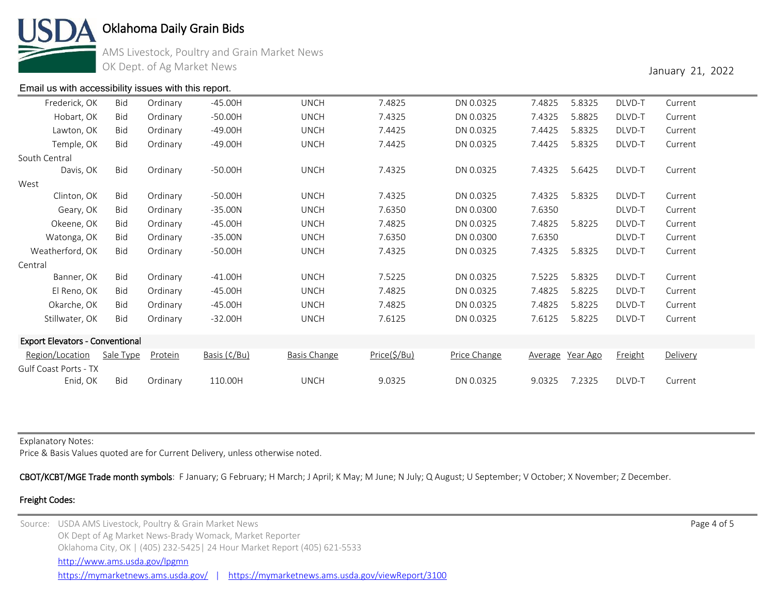

AMS Livestock, Poultry and Grain Market News OK Dept. of Ag Market News **January 21, 2022** 

#### [Email us with accessibility issues with this report.](mailto:mars@ams.usda.gov?subjectNot%20able%20to%20access%20video%20auction%20report)

| Hobart, OK Bid | Ordinary | -50.00H | UNCH        | 4325. ا | DN 0.0325 | 7.4325 5.8825 | DLVD-T | Current |
|----------------|----------|---------|-------------|---------|-----------|---------------|--------|---------|
| Lawton, OK Bid | Ordinarv | -49.00H | UNCH        | 7.4425  | DN 0.0325 | 7.4425 5.8325 | DLVD-T | Current |
| Temple, OK Bid | Ordinary | -49.00H | <b>UNCH</b> | 7.4425  | DN 0.0325 | 7.4425 5.8325 | DLVD-T | Current |
|                |          |         |             |         |           |               |        |         |

| Temple, OK                             | <b>Bid</b> | Ordinary | $-49.00H$    | <b>UNCH</b>         | 7.4425       | DN 0.0325    | 7.4425  | 5.8325   | DLVD-T  | Current  |
|----------------------------------------|------------|----------|--------------|---------------------|--------------|--------------|---------|----------|---------|----------|
| South Central                          |            |          |              |                     |              |              |         |          |         |          |
| Davis, OK                              | Bid        | Ordinary | $-50.00H$    | <b>UNCH</b>         | 7.4325       | DN 0.0325    | 7.4325  | 5.6425   | DLVD-T  | Current  |
| West                                   |            |          |              |                     |              |              |         |          |         |          |
| Clinton, OK                            | Bid        | Ordinary | $-50.00H$    | <b>UNCH</b>         | 7.4325       | DN 0.0325    | 7.4325  | 5.8325   | DLVD-T  | Current  |
| Geary, OK                              | Bid        | Ordinary | $-35.00N$    | <b>UNCH</b>         | 7.6350       | DN 0.0300    | 7.6350  |          | DLVD-T  | Current  |
| Okeene, OK                             | <b>Bid</b> | Ordinary | $-45.00H$    | <b>UNCH</b>         | 7.4825       | DN 0.0325    | 7.4825  | 5.8225   | DLVD-T  | Current  |
| Watonga, OK                            | Bid        | Ordinary | $-35.00N$    | <b>UNCH</b>         | 7.6350       | DN 0.0300    | 7.6350  |          | DLVD-T  | Current  |
| Weatherford, OK                        | <b>Bid</b> | Ordinary | $-50.00H$    | <b>UNCH</b>         | 7.4325       | DN 0.0325    | 7.4325  | 5.8325   | DLVD-T  | Current  |
| Central                                |            |          |              |                     |              |              |         |          |         |          |
| Banner, OK                             | Bid        | Ordinary | $-41.00H$    | <b>UNCH</b>         | 7.5225       | DN 0.0325    | 7.5225  | 5.8325   | DLVD-T  | Current  |
| El Reno, OK                            | <b>Bid</b> | Ordinary | $-45.00H$    | <b>UNCH</b>         | 7.4825       | DN 0.0325    | 7.4825  | 5.8225   | DLVD-T  | Current  |
| Okarche, OK                            | Bid        | Ordinary | $-45.00H$    | <b>UNCH</b>         | 7.4825       | DN 0.0325    | 7.4825  | 5.8225   | DLVD-T  | Current  |
| Stillwater, OK                         | Bid        | Ordinary | $-32.00H$    | <b>UNCH</b>         | 7.6125       | DN 0.0325    | 7.6125  | 5.8225   | DLVD-T  | Current  |
| <b>Export Elevators - Conventional</b> |            |          |              |                     |              |              |         |          |         |          |
| Region/Location                        | Sale Type  | Protein  | Basis (¢/Bu) | <b>Basis Change</b> | Price(\$/Bu) | Price Change | Average | Year Ago | Freight | Delivery |
| Gulf Coast Ports - TX                  |            |          |              |                     |              |              |         |          |         |          |
| Enid, OK                               | <b>Bid</b> | Ordinary | 110.00H      | <b>UNCH</b>         | 9.0325       | DN 0.0325    | 9.0325  | 7.2325   | DLVD-T  | Current  |

Frederick, OK Bid Ordinary -45.00H UNCH 7.4825 DN 0.0325 7.4825 5.8325 DLVD-T Current

Explanatory Notes:

Price & Basis Values quoted are for Current Delivery, unless otherwise noted.

CBOT/KCBT/MGE Trade month symbols: F January; G February; H March; J April; K May; M June; N July; Q August; U September; V October; X November; Z December.

#### Freight Codes:

Source: USDA AMS Livestock, Poultry & Grain Market News Page 4 of 5 and the state of the state of the state of the state of the state of the state of the state of the state of the state of the state of the state of the sta OK Dept of Ag Market News-Brady Womack, Market Reporter Oklahoma City, OK | (405) 232-5425| 24 Hour Market Report (405) 621-5533 <https://mymarketnews.ams.usda.gov/> | <https://mymarketnews.ams.usda.gov/viewReport/3100> <http://www.ams.usda.gov/lpgmn>